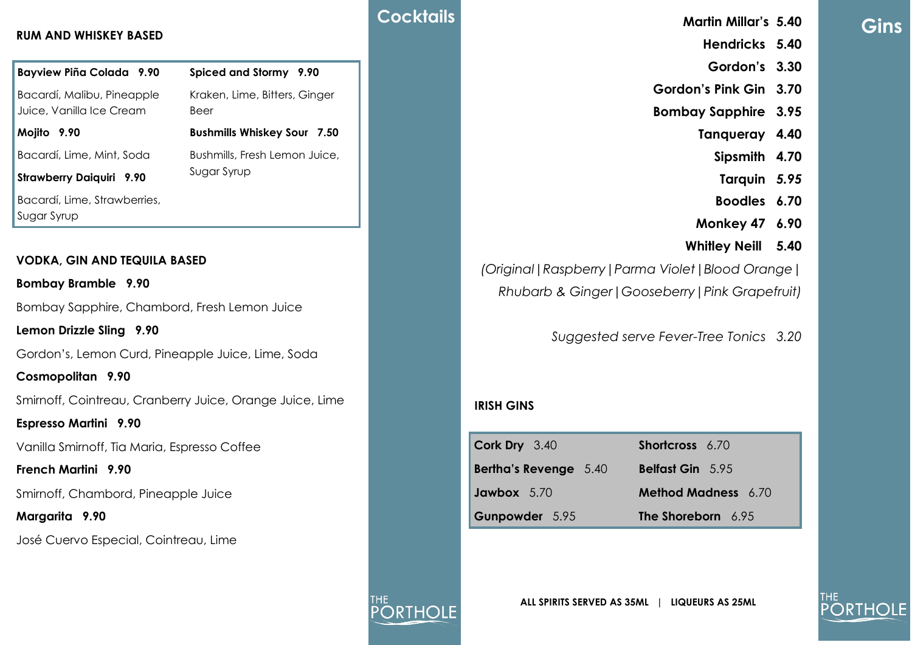# **Gins**

### **Hendricks 5.40**

**Martin Millar's 5.40**

- **Gordon's 3.30**
- **Gordon's Pink Gin 3.70**
- **Bombay Sapphire 3.95**
	- **Tanqueray 4.40**
		- **Sipsmith 4.70**
		- **Tarquin** *5.95*
		- **Boodles 6.70**
	- **Monkey 47 6.90**
	- **Whitley Neill 5.40**

*(Original|Raspberry|Parma Violet|Blood Orange| Rhubarb & Ginger|Gooseberry|Pink Grapefruit)*

*Suggested serve Fever-Tree Tonics 3.20*

## **IRISH GINS**

| $\vert$ Cork Dry 3.40        | <b>Shortcross</b> 6.70     |
|------------------------------|----------------------------|
| <b>Bertha's Revenge</b> 5.40 | <b>Belfast Gin</b> 5.95    |
| Jawbox 5.70                  | <b>Method Madness</b> 6.70 |
| Gunpowder 5.95               | The Shoreborn 6.95         |

## **RUM AND WHISKEY BASED**

| <b>Bayview Piña Colada 9.90</b>                          | Spiced and Stormy 9.90                       |  |
|----------------------------------------------------------|----------------------------------------------|--|
| Bacardí, Malibu, Pineapple<br>Juice, Vanilla Ice Cream   | Kraken, Lime, Bitters, Ginger<br>Beer        |  |
| Mojito 9.90                                              | <b>Bushmills Whiskey Sour 7.50</b>           |  |
| Bacardí, Lime, Mint, Soda                                | Bushmills, Fresh Lemon Juice,<br>Sugar Syrup |  |
| <b>Strawberry Daiquiri 9.90</b>                          |                                              |  |
| Bacardí, Lime, Strawberries,<br>Sugar Syrup              |                                              |  |
| <b>VODKA, GIN AND TEQUILA BASED</b>                      |                                              |  |
| <b>Bombay Bramble 9.90</b>                               |                                              |  |
| Bombay Sapphire, Chambord, Fresh Lemon Juice             |                                              |  |
| Lemon Drizzle Sling 9.90                                 |                                              |  |
| Gordon's, Lemon Curd, Pineapple Juice, Lime, Soda        |                                              |  |
| Cosmopolitan 9.90                                        |                                              |  |
| Smirnoff, Cointreau, Cranberry Juice, Orange Juice, Lime |                                              |  |
| <b>Espresso Martini</b> 9.90                             |                                              |  |
| Vanilla Smirnoff, Tia Maria, Espresso Coffee             |                                              |  |
| <b>French Martini</b> 9.90                               |                                              |  |

Smirnoff, Chambord, Pineapple Juice

## **Margarita 9.90**

José Cuervo Especial, Cointreau, Lime



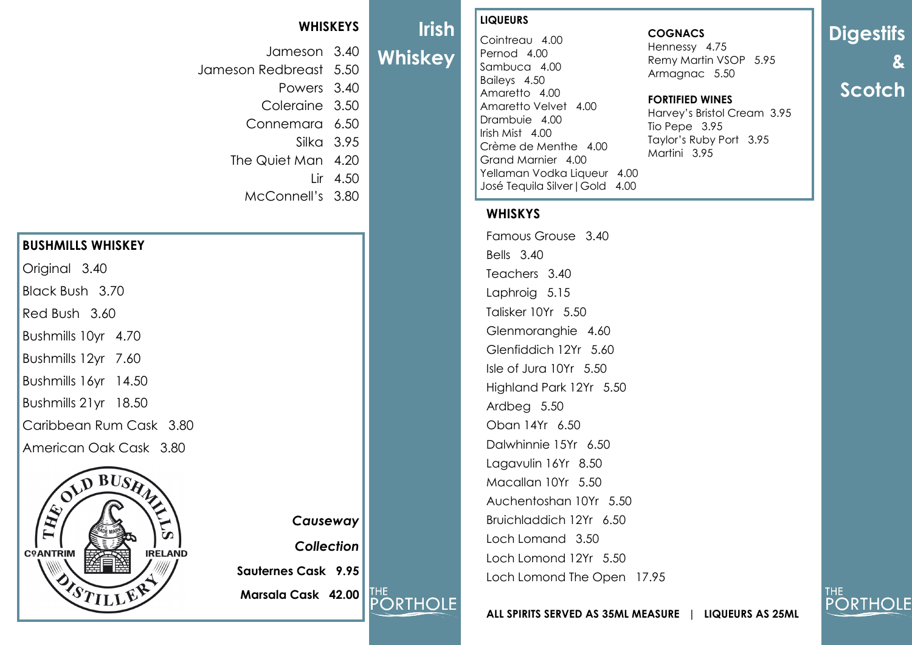# **WHISKEYS**

Jameson 3.40 Jameson Redbreast 5.50

Powers 3.40

Coleraine 3.50 Connemara 6.50

Silka 3.95

The Quiet Man 4.20

 $I$  ir 4.50

McConnell's 3.80

# **BUSHMILLS WHISKEY**

Original 3.40

Black Bush 3.70

Red Bush 3.60

Bushmills 10yr 4.70

Bushmills 12yr 7.60

Bushmills 16yr 14.50

Bushmills 21yr 18.50

Caribbean Rum Cask 3.80

American Oak Cask 3.80



*Causeway Collection* **Sauternes Cask 9.95 Marsala Cask 42.00 PORTHOLE** 

# **LIQUEURS**

**Irish** 

**Whiskey**

Cointreau 4.00 Pernod 4.00 Sambuca 4.00 Baileys 4.50 Amaretto 4.00 Amaretto Velvet 4.00 Drambuie 4.00 Irish Mist 4.00 Crème de Menthe 4.00 Grand Marnier 4.00 Yellaman Vodka Liqueur 4.00 José Tequila Silver|Gold 4.00

# **WHISKYS**

Famous Grouse 3.40 Bells 3.40 Teachers 3.40 Laphroig 5.15 Talisker 10Yr 5.50 Glenmoranghie 4.60 Glenfiddich 12Yr 5.60 Isle of Jura 10Yr 5.50 Highland Park 12Yr 5.50 Ardbeg 5.50 Oban 14Yr 6.50 Dalwhinnie 15Yr 6.50 Lagavulin 16Yr 8.50 Macallan 10Yr 5.50 Auchentoshan 10Yr 5.50 Bruichladdich 12Yr 6.50 Loch Lomand 3.50 Loch Lomond 12Yr 5.50 Loch Lomond The Open 17.95

### **COGNACS**

Hennessy 4.75 Remy Martin VSOP 5.95 Armagnac 5.50

### **FORTIFIED WINES**

Harvey's Bristol Cream 3.95 Tio Pepe 3.95 Taylor's Ruby Port 3.95 Martini 3.95

**Digestifs & Scotch**

THE.

**PORTHOLE** 

**ALL SPIRITS SERVED AS 35ML MEASURE | LIQUEURS AS 25ML**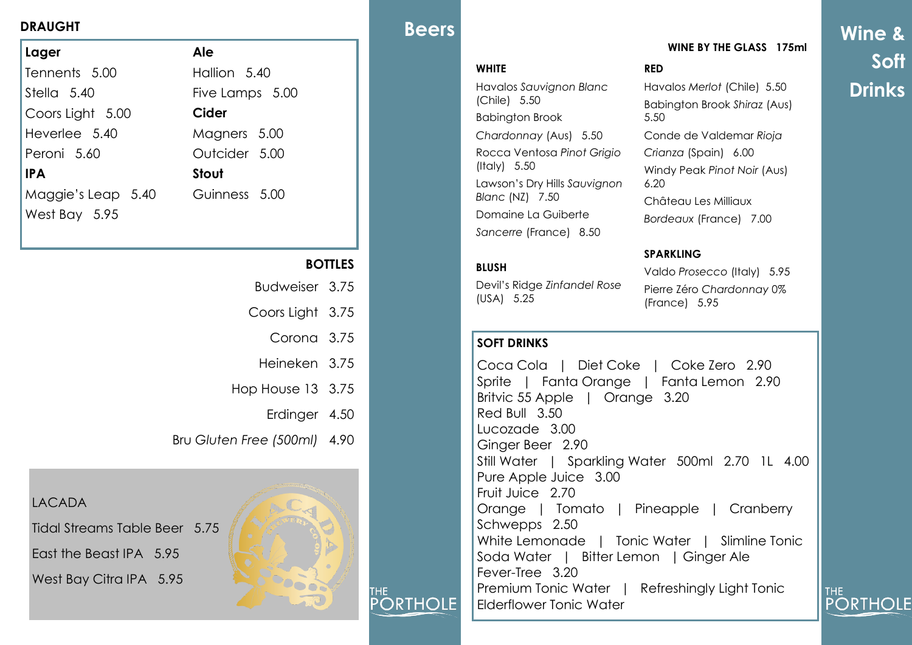| Lager              | Ale             |
|--------------------|-----------------|
| Tennents 5.00      | Hallion 5.40    |
| Stella 5.40        | Five Lamps 5.00 |
| Coors Light 5.00   | Cider           |
| Heverlee 5.40      | Magners 5.00    |
| Peroni 5.60        | Outcider 5.00   |
| <b>IPA</b>         | <b>Stout</b>    |
| Maggie's Leap 5.40 | Guinness 5.00   |
| West Bay 5.95      |                 |
|                    |                 |

# **BOTTLES**

- Budweiser 3.75
- Coors Light 3.75
	- Corona 3.75
	- Heineken 3.75
- Hop House 13 3.75
	- Erdinger 4.50
- Bru *Gluten Free (500ml)* 4.90

LACADA

Tidal Streams Table Beer 5.75

East the Beast IPA 5.95 West Bay Citra IPA 5.95



THE.

**PORTHOLE** 

# **BEERS BEERS**

# **WHITE**

Havalos *Sauvignon Blanc* (Chile) 5.50 Babington Brook *Chardonnay* (Aus) 5.50 Rocca Ventosa *Pinot Grigio* (Italy) 5.50 Lawson's Dry Hills *Sauvignon Blanc* (NZ) 7.50 Domaine La Guiberte *Sancerre* (France) 8.50

### **BLUSH**

Devil's Ridge *Zinfandel Rose* (USA) 5.25

# **SOFT DRINKS**

Coca Cola | Diet Coke | Coke Zero 2.90 Sprite | Fanta Orange | Fanta Lemon 2.90 Britvic 55 Apple | Orange 3.20 Red Bull 3.50 Lucozade 3.00 Ginger Beer 2.90 Still Water | Sparkling Water 500ml 2.70 1L 4.00 Pure Apple Juice 3.00 Fruit Juice 2.70 Orange | Tomato | Pineapple | Cranberry Schwepps 2.50 White Lemonade | Tonic Water | Slimline Tonic Soda Water | Bitter Lemon | Ginger Ale Fever-Tree 3.20 Premium Tonic Water | Refreshingly Light Tonic Elderflower Tonic Water

# **WINE BY THE GLASS 175ml**

## **RED**

Havalos *Merlot* (Chile) 5.50 Babington Brook *Shiraz* (Aus) 5.50 Conde de Valdemar *Rioja Crianza* (Spain) 6.00 Windy Peak *Pinot Noir* (Aus) 6.20 Château Les Milliaux *Bordeaux* (France) 7.00

### **SPARKLING**

Valdo *Prosecco* (Italy) 5.95 Pierre Zéro *Chardonnay* 0% (France) 5.95

**Wine & Soft Drinks**

THE<sub></sub>

**PORTHOLE**